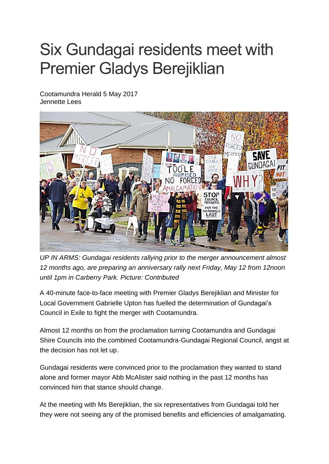## Six Gundagai residents meet with Premier Gladys Berejiklian

Cootamundra Herald 5 May 2017 Jennette Lees



*UP IN ARMS: Gundagai residents rallying prior to the merger announcement almost 12 months ago, are preparing an anniversary rally next Friday, May 12 from 12noon until 1pm in Carberry Park. Picture: Contributed*

A 40-minute face-to-face meeting with Premier Gladys Berejiklian and Minister for Local Government Gabrielle Upton has fuelled the determination of Gundagai"s Council in Exile to fight the merger with Cootamundra.

Almost 12 months on from the proclamation turning Cootamundra and Gundagai Shire Councils into the combined Cootamundra-Gundagai Regional Council, angst at the decision has not let up.

Gundagai residents were convinced prior to the proclamation they wanted to stand alone and former mayor Abb McAlister said nothing in the past 12 months has convinced him that stance should change.

At the meeting with Ms Berejiklian, the six representatives from Gundagai told her they were not seeing any of the promised benefits and efficiencies of amalgamating.